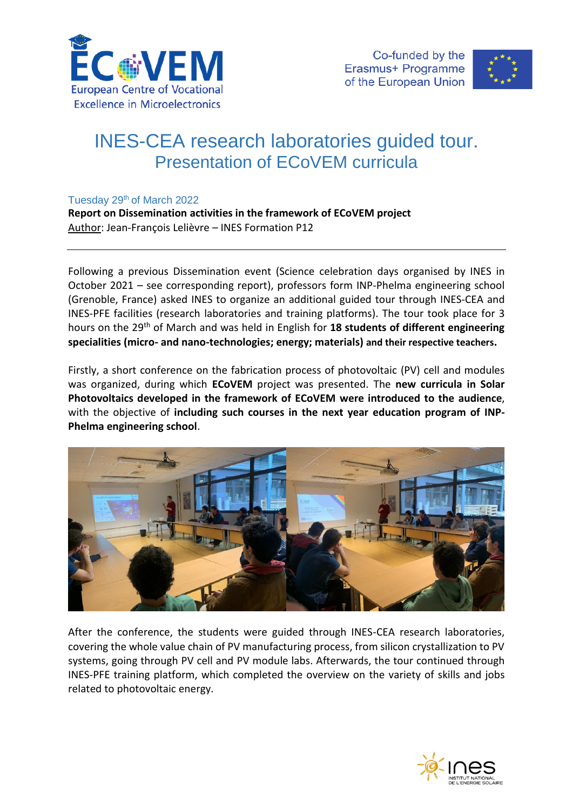



## INES-CEA research laboratories guided tour. Presentation of ECoVEM curricula

## Tuesday 29<sup>th</sup> of March 2022

**Report on Dissemination activities in the framework of ECoVEM project** Author: Jean-François Lelièvre – INES Formation P12

Following a previous Dissemination event (Science celebration days organised by INES in October 2021 – see corresponding report), professors form INP-Phelma engineering school (Grenoble, France) asked INES to organize an additional guided tour through INES-CEA and INES-PFE facilities (research laboratories and training platforms). The tour took place for 3 hours on the 29th of March and was held in English for **18 students of different engineering specialities (micro- and nano-technologies; energy; materials) and their respective teachers.**

Firstly, a short conference on the fabrication process of photovoltaic (PV) cell and modules was organized, during which **ECoVEM** project was presented. The **new curricula in Solar Photovoltaics developed in the framework of ECoVEM were introduced to the audience**, with the objective of **including such courses in the next year education program of INP-Phelma engineering school**.



After the conference, the students were guided through INES-CEA research laboratories, covering the whole value chain of PV manufacturing process, from silicon crystallization to PV systems, going through PV cell and PV module labs. Afterwards, the tour continued through INES-PFE training platform, which completed the overview on the variety of skills and jobs related to photovoltaic energy.